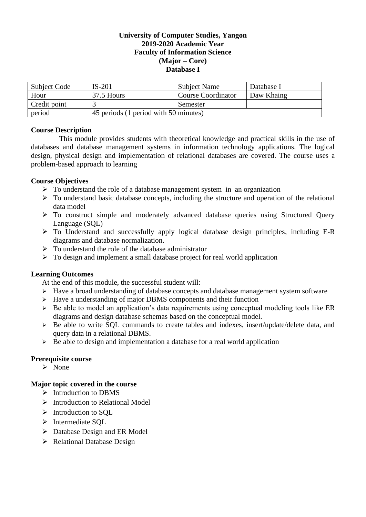### **University of Computer Studies, Yangon 2019-2020 Academic Year Faculty of Information Science (Major – Core) Database I**

| Subject Code | $IS-201$                              | <b>Subject Name</b>       | Database I |
|--------------|---------------------------------------|---------------------------|------------|
| Hour         | 37.5 Hours                            | <b>Course Coordinator</b> | Daw Khaing |
| Credit point |                                       | Semester                  |            |
| period       | 45 periods (1 period with 50 minutes) |                           |            |

## **Course Description**

This module provides students with theoretical knowledge and practical skills in the use of databases and database management systems in information technology applications. The logical design, physical design and implementation of relational databases are covered. The course uses a problem-based approach to learning

## **Course Objectives**

- ➢ To understand the role of a database management system in an organization
- $\triangleright$  To understand basic database concepts, including the structure and operation of the relational data model
- ➢ To construct simple and moderately advanced database queries using Structured Query Language (SQL)
- ➢ To Understand and successfully apply logical database design principles, including E-R diagrams and database normalization.
- $\triangleright$  To understand the role of the database administrator
- $\triangleright$  To design and implement a small database project for real world application

## **Learning Outcomes**

At the end of this module, the successful student will:

- ➢ Have a broad understanding of database concepts and database management system software
- $\triangleright$  Have a understanding of major DBMS components and their function
- ➢ Be able to model an application's data requirements using conceptual modeling tools like ER diagrams and design database schemas based on the conceptual model.
- ➢ Be able to write SQL commands to create tables and indexes, insert/update/delete data, and query data in a relational DBMS.
- $\triangleright$  Be able to design and implementation a database for a real world application

## **Prerequisite course**

➢ None

# **Major topic covered in the course**

- ➢ Introduction to DBMS
- ➢ Introduction to Relational Model
- ➢ Introduction to SQL
- ➢ Intermediate SQL
- ➢ Database Design and ER Model
- ➢ Relational Database Design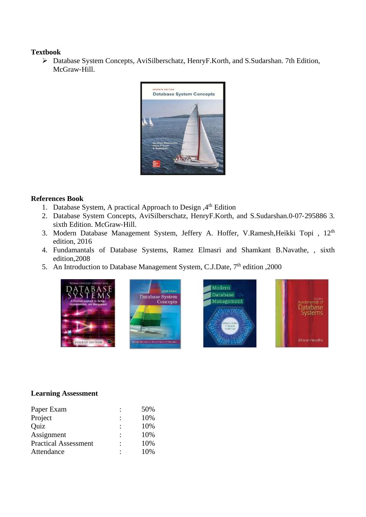#### **Textbook**

➢ Database System Concepts, AviSilberschatz, HenryF.Korth, and S.Sudarshan. 7th Edition, McGraw‐Hill.



### **References Book**

- 1. Database System, A practical Approach to Design , 4<sup>th</sup> Edition
- 2. Database System Concepts, AviSilberschatz, HenryF.Korth, and S.Sudarshan.0-07-295886 3. sixth Edition. McGraw-Hill.
- 3. Modern Database Management System, Jeffery A. Hoffer, V.Ramesh, Heikki Topi, 12<sup>th</sup> edition, 2016
- 4. Fundamantals of Database Systems, Ramez Elmasri and Shamkant B.Navathe, , sixth edition,2008
- 5. An Introduction to Database Management System, C.J.Date, 7<sup>th</sup> edition ,2000







### **Learning Assessment**

| Paper Exam                  |   | 50% |
|-----------------------------|---|-----|
| Project                     |   | 10% |
| Quiz                        |   | 10% |
| Assignment                  |   | 10% |
| <b>Practical Assessment</b> | ٠ | 10% |
| Attendance                  |   | 10% |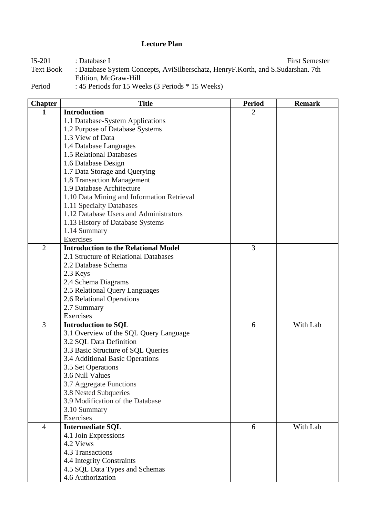## **Lecture Plan**

IS-201 : Database I<br>Text Book : Database System Concepts, AviSilberschatz, HenryF.Korth, and S.Sudarshan. 7th : Database System Concepts, AviSilberschatz, HenryF.Korth, and S.Sudarshan. 7th Edition, McGraw‐Hill

Period : 45 Periods for 15 Weeks (3 Periods \* 15 Weeks)

| <b>Chapter</b> | <b>Title</b>                                | <b>Period</b>  | <b>Remark</b> |
|----------------|---------------------------------------------|----------------|---------------|
| 1              | <b>Introduction</b>                         | $\overline{2}$ |               |
|                | 1.1 Database-System Applications            |                |               |
|                | 1.2 Purpose of Database Systems             |                |               |
|                | 1.3 View of Data                            |                |               |
|                | 1.4 Database Languages                      |                |               |
|                | 1.5 Relational Databases                    |                |               |
|                | 1.6 Database Design                         |                |               |
|                | 1.7 Data Storage and Querying               |                |               |
|                | 1.8 Transaction Management                  |                |               |
|                | 1.9 Database Architecture                   |                |               |
|                | 1.10 Data Mining and Information Retrieval  |                |               |
|                | 1.11 Specialty Databases                    |                |               |
|                | 1.12 Database Users and Administrators      |                |               |
|                | 1.13 History of Database Systems            |                |               |
|                | 1.14 Summary                                |                |               |
|                | Exercises                                   |                |               |
| $\overline{2}$ | <b>Introduction to the Relational Model</b> | 3              |               |
|                | 2.1 Structure of Relational Databases       |                |               |
|                | 2.2 Database Schema                         |                |               |
|                | 2.3 Keys                                    |                |               |
|                | 2.4 Schema Diagrams                         |                |               |
|                | 2.5 Relational Query Languages              |                |               |
|                | 2.6 Relational Operations                   |                |               |
|                | 2.7 Summary                                 |                |               |
|                | Exercises                                   |                |               |
| 3              | <b>Introduction to SQL</b>                  | 6              | With Lab      |
|                | 3.1 Overview of the SQL Query Language      |                |               |
|                | 3.2 SQL Data Definition                     |                |               |
|                | 3.3 Basic Structure of SQL Queries          |                |               |
|                | 3.4 Additional Basic Operations             |                |               |
|                | 3.5 Set Operations                          |                |               |
|                | 3.6 Null Values                             |                |               |
|                | 3.7 Aggregate Functions                     |                |               |
|                | 3.8 Nested Subqueries                       |                |               |
|                | 3.9 Modification of the Database            |                |               |
|                | 3.10 Summary                                |                |               |
|                | Exercises                                   |                |               |
| $\overline{4}$ | <b>Intermediate SQL</b>                     | 6              | With Lab      |
|                | 4.1 Join Expressions                        |                |               |
|                | 4.2 Views                                   |                |               |
|                | 4.3 Transactions                            |                |               |
|                | 4.4 Integrity Constraints                   |                |               |
|                | 4.5 SQL Data Types and Schemas              |                |               |
|                | 4.6 Authorization                           |                |               |